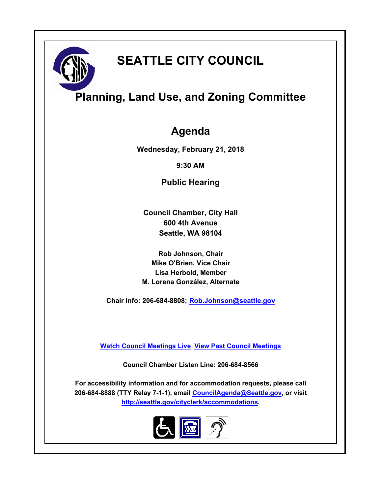

# **SEATTLE CITY COUNCIL**

## **Planning, Land Use, and Zoning Committee**

### **Agenda**

**Wednesday, February 21, 2018**

**9:30 AM**

**Public Hearing**

**Council Chamber, City Hall 600 4th Avenue Seattle, WA 98104**

**Rob Johnson, Chair Mike O'Brien, Vice Chair Lisa Herbold, Member M. Lorena González, Alternate**

**Chair Info: 206-684-8808; [Rob.Johnson@seattle.gov](mailto:Rob.Johnson@seattle.gov)**

**[Watch Council Meetings Live](http://www.seattle.gov/council/councillive.htm) [View Past Council Meetings](http://www.seattlechannel.org/videos/browseVideos.asp?topic=council)**

**Council Chamber Listen Line: 206-684-8566**

**For accessibility information and for accommodation requests, please call 206-684-8888 (TTY Relay 7-1-1), email [CouncilAgenda@Seattle.gov](mailto:CouncilAgenda@Seattle.gov), or visit <http://seattle.gov/cityclerk/accommodations>.**

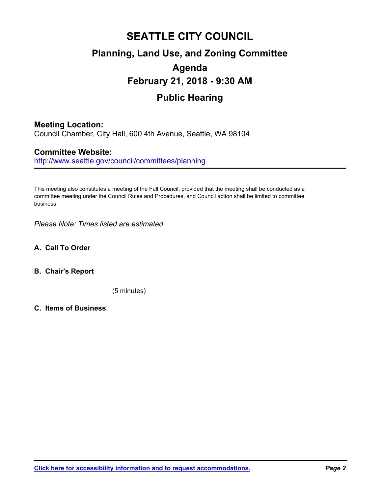## **SEATTLE CITY COUNCIL Planning, Land Use, and Zoning Committee Agenda February 21, 2018 - 9:30 AM Public Hearing**

#### **Meeting Location:**

Council Chamber, City Hall, 600 4th Avenue, Seattle, WA 98104

#### **Committee Website:**

http://www.seattle.gov/council/committees/planning

This meeting also constitutes a meeting of the Full Council, provided that the meeting shall be conducted as a committee meeting under the Council Rules and Procedures, and Council action shall be limited to committee business.

*Please Note: Times listed are estimated*

- **A. Call To Order**
- **B. Chair's Report**

(5 minutes)

**C. Items of Business**

**[Click here for accessibility information and to request accommodations.](http://seattle.gov/cityclerk/accommodations)** *Page 2*